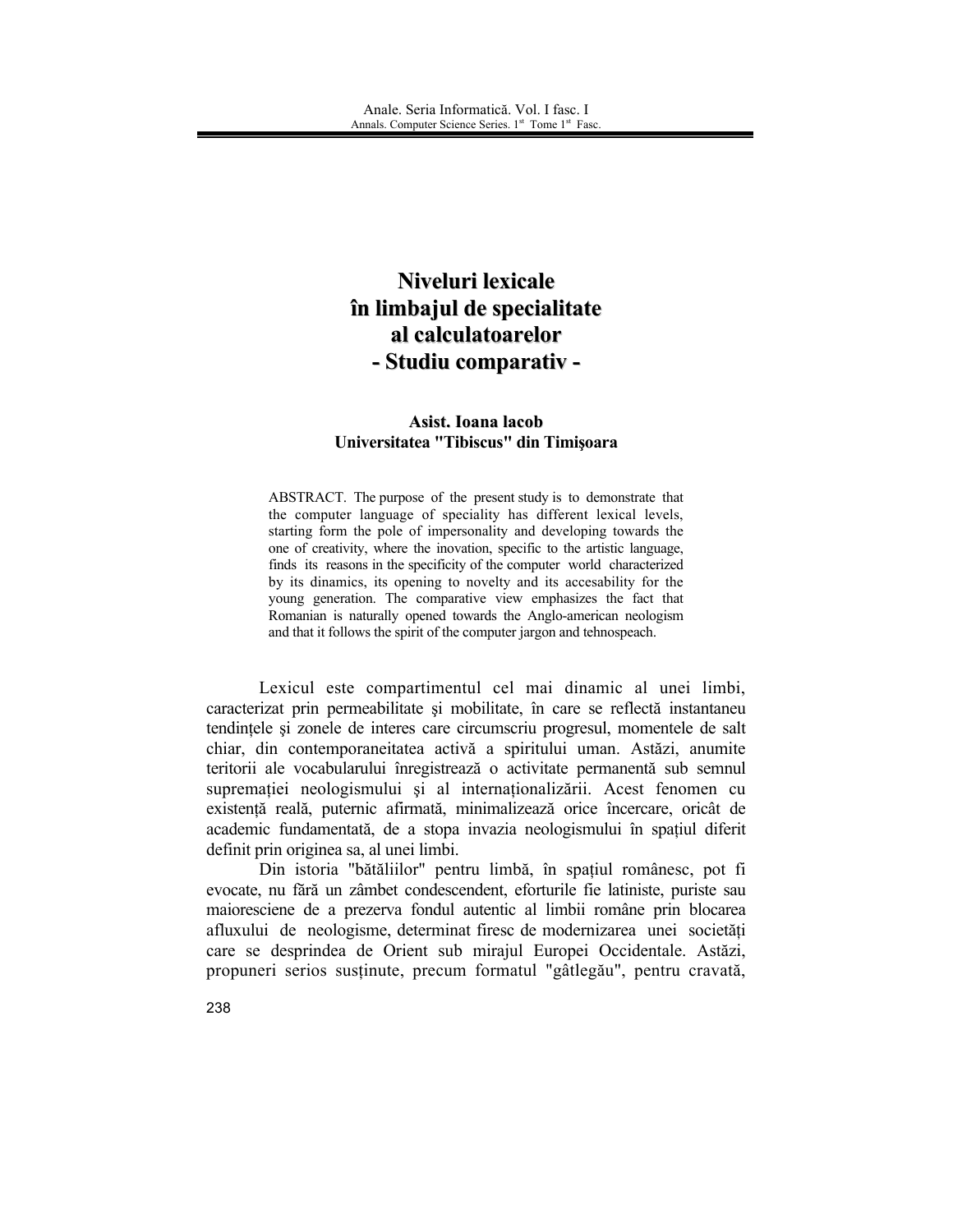## Niveluri lexicale în limbajul de specialitate al calculatoarelor - Studiu comparativ -

## Asist. Ioana lacob Universitatea "Tibiscus" din Timișoara

ABSTRACT. The purpose of the present study is to demonstrate that the computer language of speciality has different lexical levels, starting form the pole of impersonality and developing towards the one of creativity, where the inovation, specific to the artistic language, finds its reasons in the specificity of the computer world characterized by its dinamics, its opening to novelty and its accesability for the young generation. The comparative view emphasizes the fact that Romanian is naturally opened towards the Anglo-american neologism and that it follows the spirit of the computer jargon and tehnospeach.

Lexicul este compartimentul cel mai dinamic al unei limbi, caracterizat prin permeabilitate și mobilitate, în care se reflectă instantaneu tendintele si zonele de interes care circumscriu progresul, momentele de salt chiar, din contemporaneitatea activă a spiritului uman. Astăzi, anumite teritorii ale vocabularului înregistrează o activitate permanentă sub semnul supremației neologismului și al internaționalizării. Acest fenomen cu existentă reală, puternic afirmată, minimalizează orice încercare, oricât de academic fundamentată, de a stopa invazia neologismului în spațiul diferit definit prin originea sa. al unei limbi.

Din istoria "bătăliilor" pentru limbă, în spațiul românesc, pot fi evocate, nu fără un zâmbet condescendent, eforturile fie latiniste, puriste sau maioresciene de a prezerva fondul autentic al limbii române prin blocarea afluxului de neologisme, determinat firesc de modernizarea unei societăți care se desprindea de Orient sub mirajul Europei Occidentale. Astăzi, propuneri serios sustinute, precum formatul "gâtlegău", pentru cravată,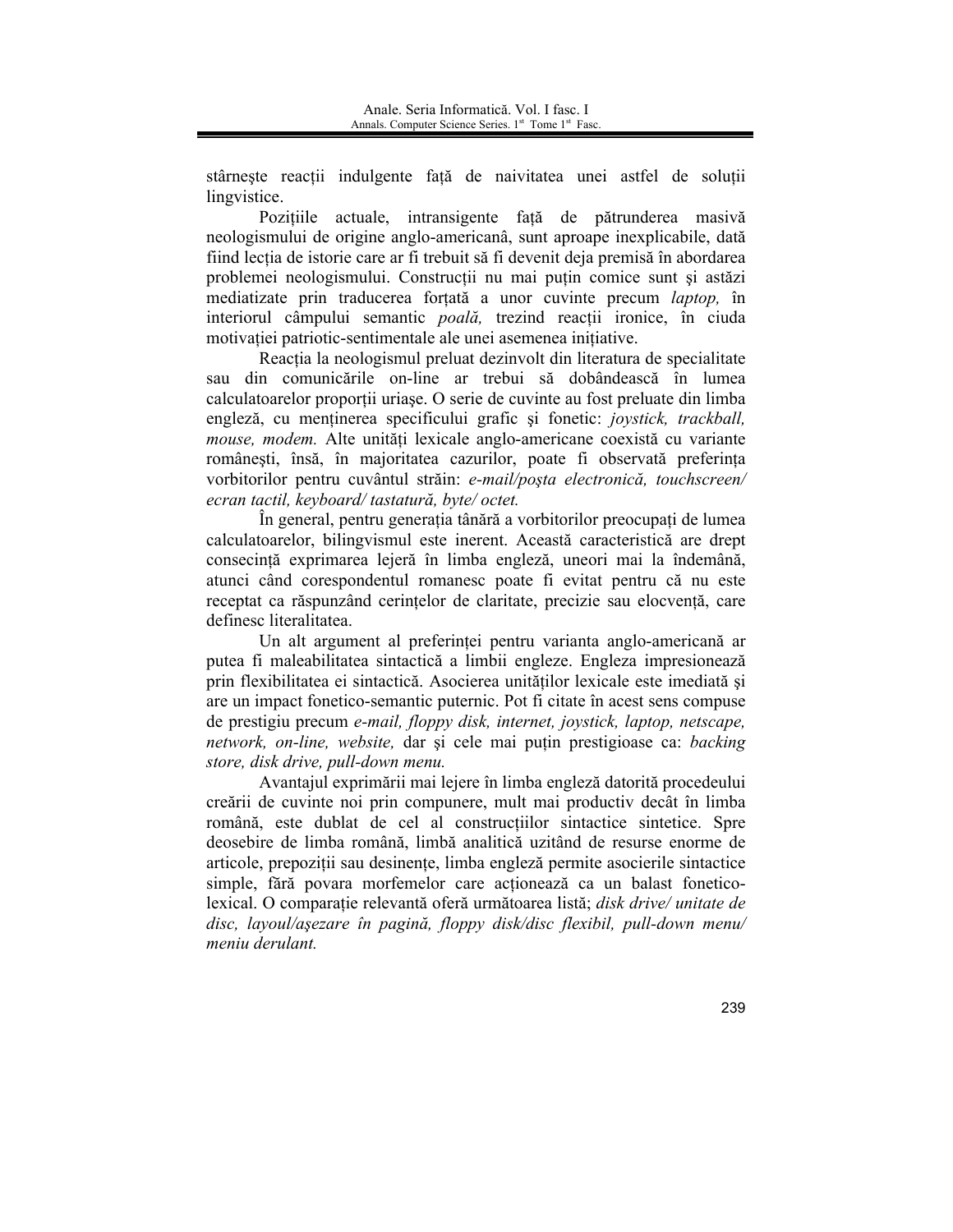stâmeste reacții indulgente față de naivitatea unei astfel de soluții lingvistice.

Pozitiile actuale, intransigente fată de pătrunderea masivă neologismului de origine anglo-americanâ, sunt aproape inexplicabile, dată fiind lecția de istorie care ar fi trebuit să fi devenit deja premisă în abordarea problemei neologismului. Construcții nu mai puțin comice sunt și astăzi mediatizate prin traducerea fortată a unor cuvinte precum *laptop*, în interiorul câmpului semantic *poală*, trezind reactii ironice, în ciuda motivației patriotic-sentimentale ale unei asemenea inițiative.

Reactia la neologismul preluat dezinvolt din literatura de specialitate sau din comunicările on-line ar trebui să dobândească în lumea calculatoarelor proportii uriase. O serie de cuvinte au fost preluate din limba engleză, cu menținerea specificului grafic și fonetic: joystick, trackball, mouse, modem. Alte unități lexicale anglo-americane coexistă cu variante românești, însă, în majoritatea cazurilor, poate fi observată preferința vorbitorilor pentru cuvântul străin: e-mail/poșta electronică, touchscreen/ ecran tactil, keyboard/tastatură, byte/octet.

În general, pentru generatia tânără a vorbitorilor preocupati de lumea calculatoarelor, bilingvismul este inerent. Această caracteristică are drept consecință exprimarea lejeră în limba engleză, uneori mai la îndemână, atunci când corespondentul romanesc poate fi evitat pentru că nu este receptat ca răspunzând cerintelor de claritate, precizie sau elocventă, care definesc literalitatea

Un alt argument al preferinței pentru varianta anglo-americană ar putea fi maleabilitatea sintactică a limbii engleze. Engleza impresionează prin flexibilitatea ei sintactică. Asocierea unităților lexicale este imediată și are un impact fonetico-semantic puternic. Pot fi citate în acest sens compuse de prestigiu precum e-mail, floppy disk, internet, joystick, laptop, netscape, network, on-line, website, dar și cele mai puțin prestigioase ca: backing store, disk drive, pull-down menu.

Avantajul exprimării mai lejere în limba engleză datorită procedeului creării de cuvinte noi prin compunere, mult mai productiv decât în limba română, este dublat de cel al construcțiilor sintactice sintetice. Spre deosebire de limba română, limbă analitică uzitând de resurse enorme de articole, prepoziții sau desinențe, limba engleză permite asocierile sintactice simple, fără povara morfemelor care actionează ca un balast foneticolexical. O comparație relevantă oferă următoarea listă; disk drive/unitate de disc, layoul/așezare în pagină, floppy disk/disc flexibil, pull-down menu/ meniu derulant.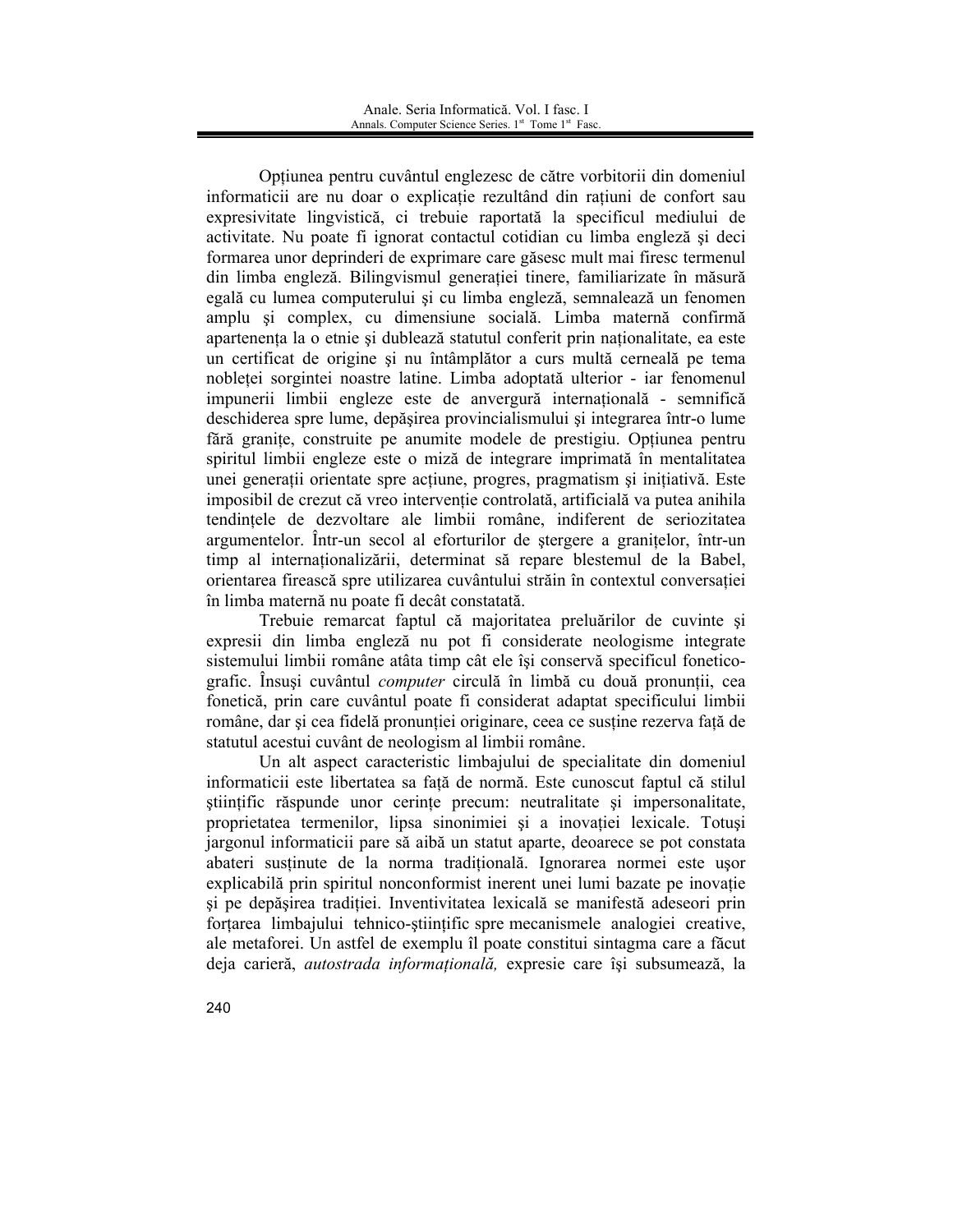Optiunea pentru cuvântul englezesc de către vorbitorii din domeniul informaticii are nu doar o explicație rezultând din rațiuni de confort sau expresivitate lingvistică, ci trebuie raportată la specificul mediului de activitate. Nu poate fi ignorat contactul cotidian cu limba engleză și deci formarea unor deprinderi de exprimare care găsesc mult mai firesc termenul din limba engleză. Bilingvismul generației tinere, familiarizate în măsură egală cu lumea computerului și cu limba engleză, semnalează un fenomen amplu si complex, cu dimensiune socială. Limba maternă confirmă apartenența la o etnie și dublează statutul conferit prin naționalitate, ea este un certificat de origine și nu întâmplător a curs multă cerneală pe tema nobletei sorgintei noastre latine. Limba adoptată ulterior - iar fenomenul impunerii limbii engleze este de anvergură internatională - semnifică deschiderea spre lume, depășirea provincialismului și integrarea într-o lume fără granite, construite pe anumite modele de prestigiu. Optiunea pentru spiritul limbii engleze este o miză de integrare imprimată în mentalitatea unei generații orientate spre acțiune, progres, pragmatism și inițiativă. Este imposibil de crezut că vreo intervenție controlată, artificială va putea anihila tendintele de dezvoltare ale limbii române, indiferent de seriozitatea argumentelor. Într-un secol al eforturilor de stergere a granitelor, într-un timp al internationalizării, determinat să repare blestemul de la Babel, orientarea firească spre utilizarea cuvântului străin în contextul conversației în limba maternă nu poate fi decât constatată.

Trebuie remarcat faptul că majoritatea preluărilor de cuvinte și expresii din limba engleză nu pot fi considerate neologisme integrate sistemului limbii române atâta timp cât ele își conservă specificul foneticografic. Însuși cuvântul computer circulă în limbă cu două pronuntii, cea fonetică, prin care cuvântul poate fi considerat adaptat specificului limbii române, dar si cea fidelă pronuntiei originare, ceea ce sustine rezerva fată de statutul acestui cuvânt de neologism al limbii române.

Un alt aspect caracteristic limbajului de specialitate din domeniul informaticii este libertatea sa fată de normă. Este cunoscut faptul că stilul stiințific răspunde unor cerințe precum: neutralitate și impersonalitate, proprietatea termenilor, lipsa sinonimiei și a inovației lexicale. Totuși jargonul informaticii pare să aibă un statut aparte, deoarece se pot constata abateri sustinute de la norma traditională. Ignorarea normei este ușor explicabilă prin spiritul nonconformist inerent unei lumi bazate pe inovatie si pe depăsirea tradiției. Inventivitatea lexicală se manifestă adeseori prin fortarea limbajului tehnico-științific spre mecanismele analogiei creative, ale metaforei. Un astfel de exemplu îl poate constitui sintagma care a făcut deja carieră, *autostrada informațională*, expresie care își subsumează, la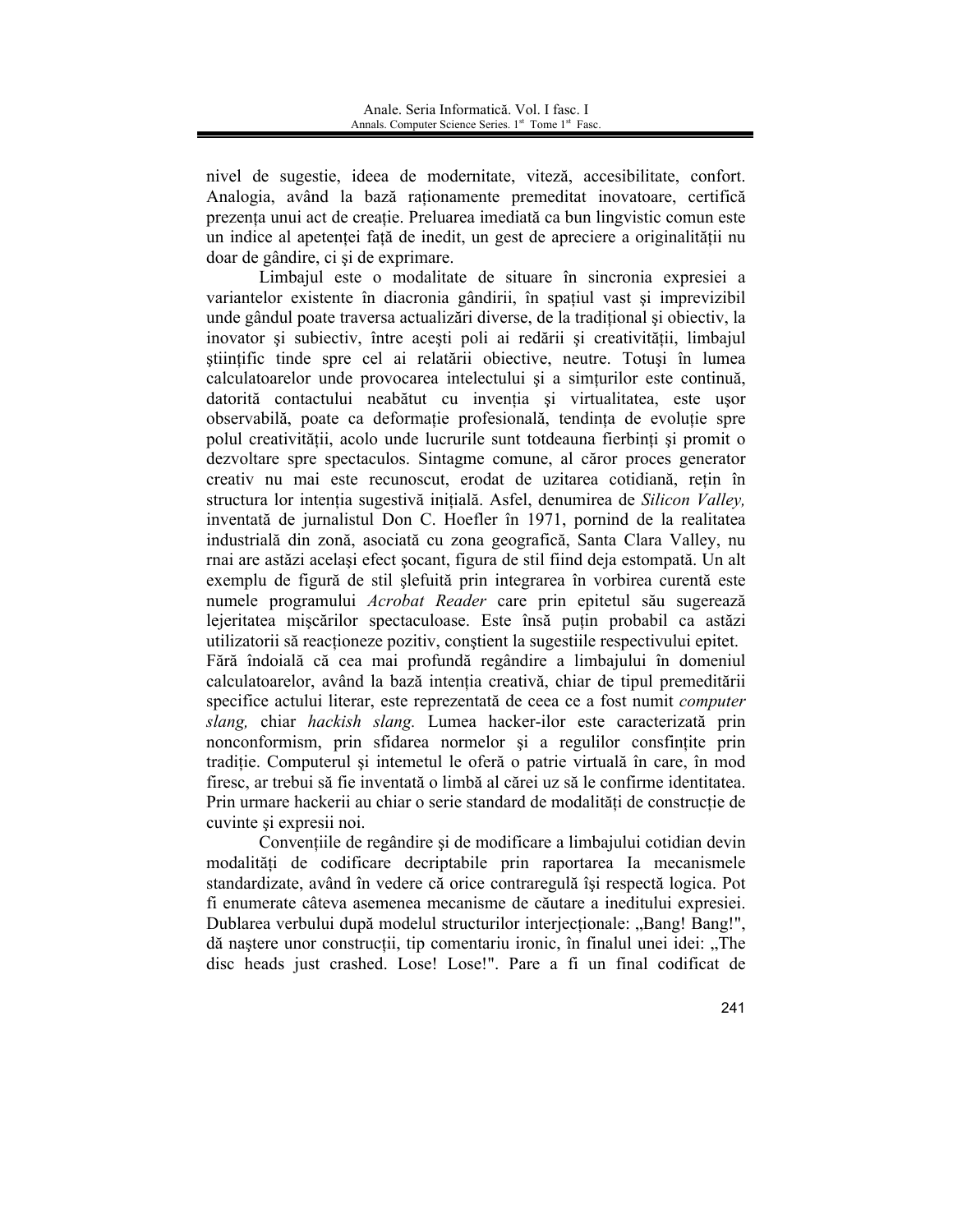nivel de sugestie, ideea de modernitate, viteză, accesibilitate, confort. Analogia, având la bază raționamente premeditat inovatoare, certifică prezenta unui act de creatie. Preluarea imediată ca bun lingvistic comun este un indice al apetentei față de inedit, un gest de apreciere a originalității nu doar de gândire, ci și de exprimare.

Limbajul este o modalitate de situare în sincronia expresiei a variantelor existente în diacronia gândirii, în spațiul vast și imprevizibil unde gândul poate traversa actualizări diverse, de la traditional și obiectiv, la inovator și subiectiv, între acești poli ai redării și creativității, limbajul științific tinde spre cel ai relatării obiective, neutre. Totuși în lumea calculatoarelor unde provocarea intelectului și a simturilor este continuă, datorită contactului neabătut cu inventia si virtualitatea, este usor observabilă, poate ca deformație profesională, tendința de evoluție spre polul creativității, acolo unde lucrurile sunt totdeauna fierbinți și promit o dezvoltare spre spectaculos. Sintagme comune, al căror proces generator creativ nu mai este recunoscut, erodat de uzitarea cotidiană, rețin în structura lor intenția sugestivă inițială. Asfel, denumirea de Silicon Valley, inventată de jurnalistul Don C. Hoefler în 1971, pornind de la realitatea industrială din zonă, asociată cu zona geografică, Santa Clara Valley, nu rnai are astăzi același efect socant, figura de stil fiind deja estompată. Un alt exemplu de figură de stil șlefuită prin integrarea în vorbirea curentă este numele programului *Acrobat Reader* care prin epitetul său sugerează lejeritatea miscărilor spectaculoase. Este însă puțin probabil ca astăzi utilizatorii să reacționeze pozitiv, conștient la sugestiile respectivului epitet. Fără îndoială că cea mai profundă regândire a limbajului în domeniul calculatoarelor, având la bază intenția creativă, chiar de tipul premeditării specifice actului literar, este reprezentată de ceea ce a fost numit *computer* slang, chiar hackish slang. Lumea hacker-ilor este caracterizată prin nonconformism, prin sfidarea normelor și a regulilor consfințite prin tradiție. Computerul și intemetul le oferă o patrie virtuală în care, în mod firesc, ar trebui să fie inventată o limbă al cărei uz să le confirme identitatea. Prin urmare hackerii au chiar o serie standard de modalități de construcție de

Conventiile de regândire și de modificare a limbajului cotidian devin modalități de codificare decriptabile prin raportarea Ia mecanismele standardizate, având în vedere că orice contraregulă își respectă logica. Pot fi enumerate câteva asemenea mecanisme de căutare a ineditului expresiei. Dublarea verbului după modelul structurilor interjecționale: "Bang! Bang!", dă nastere unor constructii, tip comentariu ironic, în finalul unei idei: "The disc heads just crashed. Lose! Lose!". Pare a fi un final codificat de

cuvinte și expresii noi.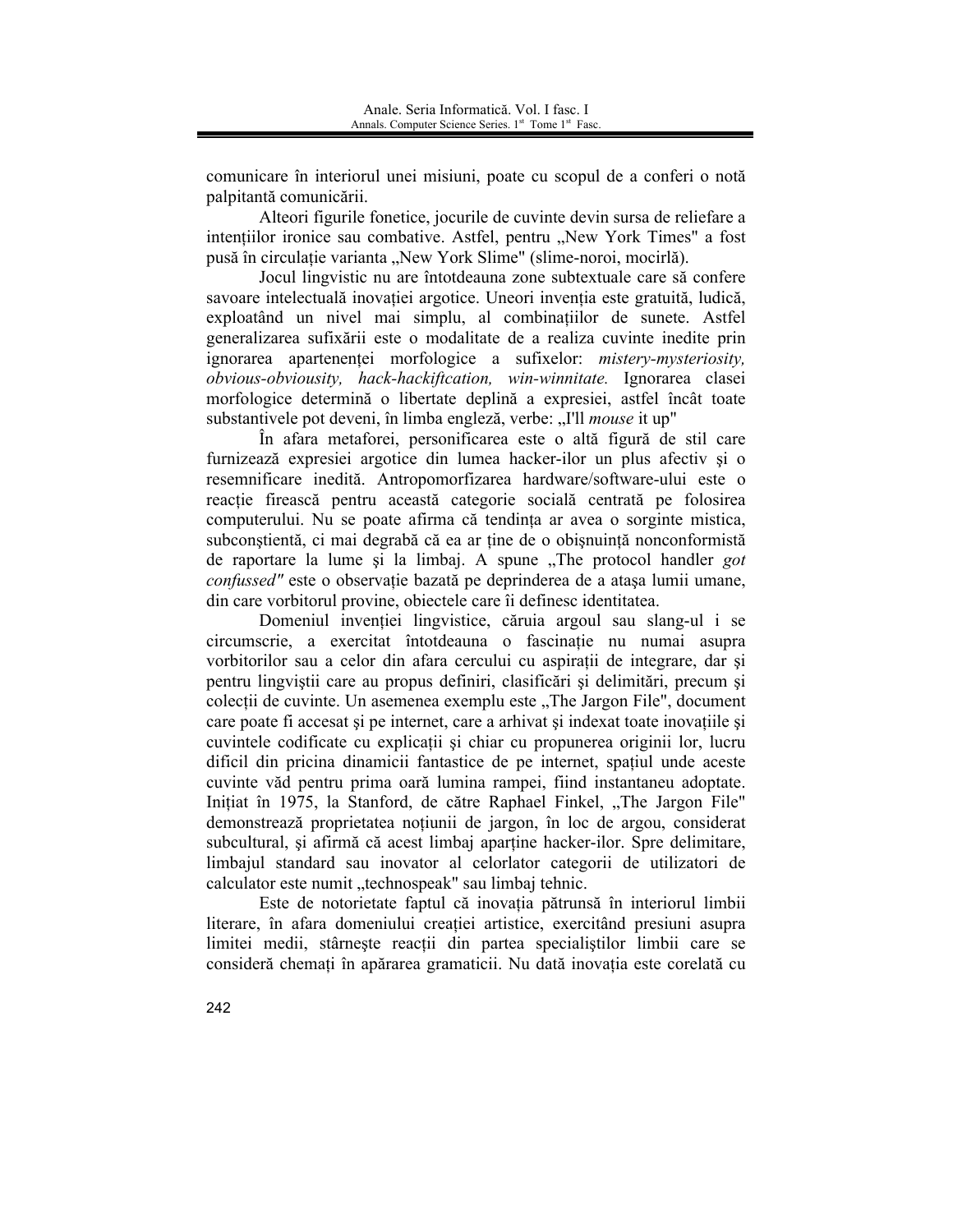comunicare în interiorul unei misiuni, poate cu scopul de a conferi o notă palpitantă comunicării.

Alteori figurile fonetice, jocurile de cuvinte devin sursa de reliefare a intentiilor ironice sau combative. Astfel, pentru "New York Times" a fost pusă în circulație varianta "New York Slime" (slime-noroi, mocirlă).

Jocul lingvistic nu are întotdeauna zone subtextuale care să confere savoare intelectuală inovației argotice. Uneori invenția este gratuită, ludică, exploatând un nivel mai simplu, al combinatiilor de sunete. Astfel generalizarea sufixării este o modalitate de a realiza cuvinte inedite prin ignorarea apartenenței morfologice a sufixelor: mistery-mysteriosity, obvious-obviousity, hack-hackiftcation, win-winnitate. Ignorarea clasei morfologice determină o libertate deplină a expresiei, astfel încât toate substantivele pot deveni, în limba engleză, verbe: "I'll *mouse* it up"

În afara metaforei, personificarea este o altă figură de stil care furnizează expresiei argotice din lumea hacker-ilor un plus afectiv și o resemnificare inedită. Antropomorfizarea hardware/software-ului este o reactie firească pentru această categorie socială centrată pe folosirea computerului. Nu se poate afirma că tendinta ar avea o sorginte mistica, subconștientă, ci mai degrabă că ea ar ține de o obișnuință nonconformistă de raportare la lume și la limbaj. A spune "The protocol handler got confussed" este o observație bazată pe deprinderea de a atașa lumii umane, din care vorbitorul provine, objectele care îi definesc identitatea.

Domeniul inventiei lingvistice, căruia argoul sau slang-ul i se circumscrie, a exercitat întotdeauna o fascinație nu numai asupra vorbitorilor sau a celor din afara cercului cu aspiratii de integrare, dar si pentru lingvistii care au propus definiri, clasificări și delimitări, precum și colectii de cuvinte. Un asemenea exemplu este "The Jargon File", document care poate fi accesat si pe internet, care a arhivat si indexat toate inovatiile si cuvintele codificate cu explicații și chiar cu propunerea originii lor, lucru dificil din pricina dinamicii fantastice de pe internet, spațiul unde aceste cuvinte văd pentru prima oară lumina rampei, fiind instantaneu adoptate. Inițiat în 1975, la Stanford, de către Raphael Finkel, "The Jargon File" demonstrează proprietatea noțiunii de jargon, în loc de argou, considerat subcultural, și afirmă că acest limbaj aparține hacker-ilor. Spre delimitare, limbajul standard sau inovator al celorlator categorii de utilizatori de calculator este numit ..technospeak" sau limbai tehnic.

Este de notorietate faptul că inovația pătrunsă în interiorul limbii literare, în afara domeniului creației artistice, exercitând presiuni asupra limitei medii, stârneste reactii din partea specialistilor limbii care se consideră chemați în apărarea gramaticii. Nu dată inovația este corelată cu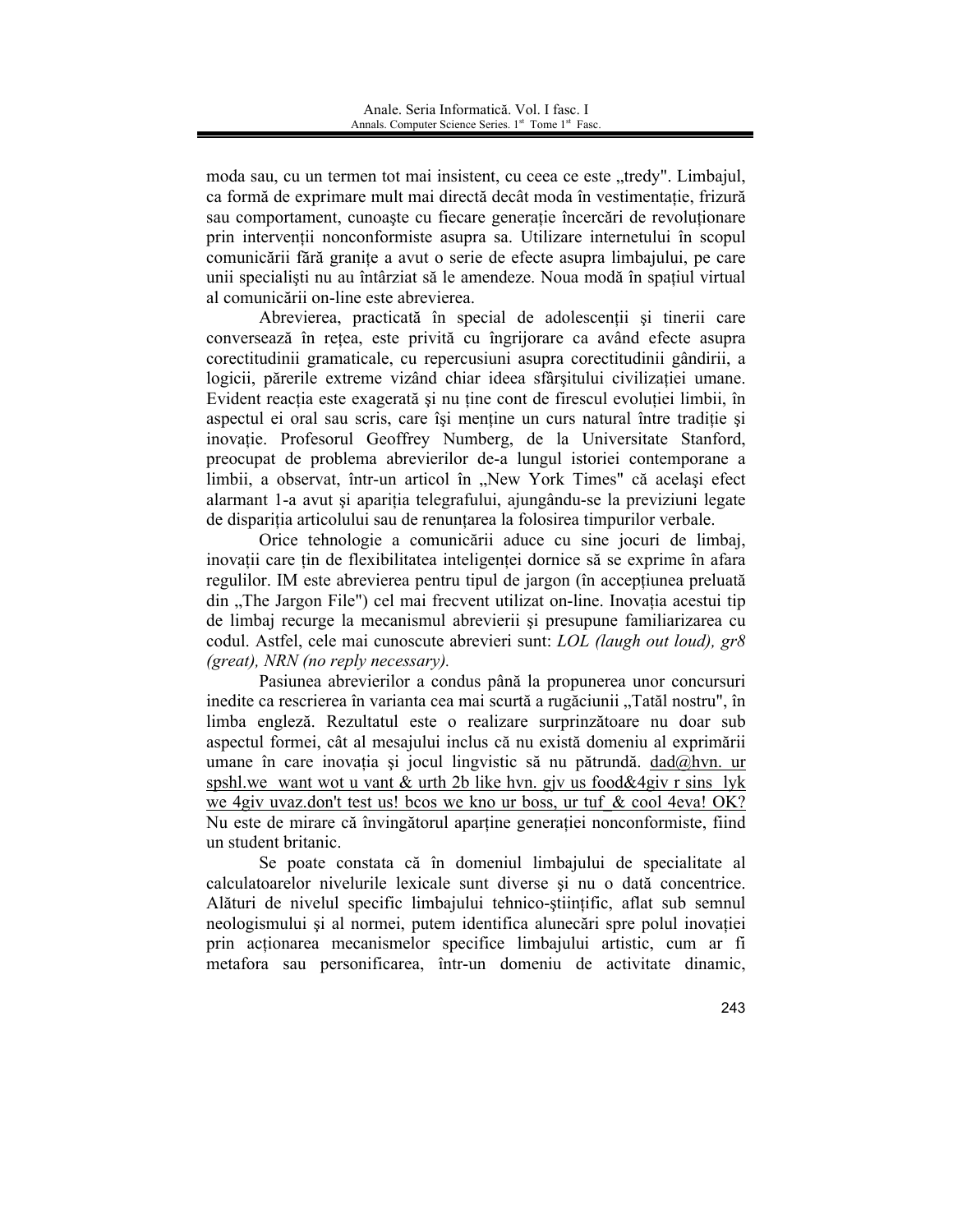moda sau, cu un termen tot mai insistent, cu ceea ce este "tredy". Limbajul, ca formă de exprimare mult mai directă decât moda în vestimentație, frizură sau comportament, cunoaste cu fiecare generație încercări de revoluționare prin intervenții nonconformiste asupra sa. Utilizare internetului în scopul comunicării fără granițe a avut o serie de efecte asupra limbajului, pe care unii specialisti nu au întârziat să le amendeze. Noua modă în spațiul virtual al comunicării on-line este abrevierea.

Abrevierea, practicată în special de adolescentii și tinerii care conversează în rețea, este privită cu îngrijorare ca având efecte asupra corectitudinii gramaticale, cu repercusiuni asupra corectitudinii gândirii, a logicii, părerile extreme vizând chiar ideea sfârșitului civilizației umane. Evident reacția este exagerată și nu ține cont de firescul evoluției limbii, în aspectul ei oral sau scris, care își menține un curs natural între tradiție și inovatie. Profesorul Geoffrey Numberg, de la Universitate Stanford, preocupat de problema abrevierilor de-a lungul istoriei contemporane a limbii, a observat, într-un articol în "New York Times" că același efect alarmant 1-a avut și apariția telegrafului, ajungându-se la previziuni legate de disparitia articolului sau de renuntarea la folosirea timpurilor verbale.

Orice tehnologie a comunicării aduce cu sine jocuri de limbaj, inovații care țin de flexibilitatea inteligenței dornice să se exprime în afara regulilor. IM este abrevierea pentru tipul de jargon (în accepțiunea preluată din "The Jargon File") cel mai frecvent utilizat on-line. Inovația acestui tip de limbaj recurge la mecanismul abrevierii și presupune familiarizarea cu codul. Astfel, cele mai cunoscute abrevieri sunt: LOL (laugh out loud), gr8  $(great)$ , NRN (no reply necessary).

Pasiunea abrevierilor a condus până la propunerea unor concursuri inedite ca rescrierea în varianta cea mai scurtă a rugăciunii "Tatăl nostru", în limba engleză. Rezultatul este o realizare surprinzătoare nu doar sub aspectul formei, cât al mesajului inclus că nu există domeniu al exprimării umane în care inovația și jocul lingvistic să nu pătrundă. dad@hvn. ur spshl, we want wot u vant  $\&$  urth 2b like hyn, giv us food $\&$ 4giv r sins lyk we 4giv uvaz.don't test us! bcos we kno ur boss, ur tuf & cool 4eva! OK? Nu este de mirare că învingătorul aparține generației nonconformiste, fiind un student britanic.

Se poate constata că în domeniul limbajului de specialitate al calculatoarelor nivelurile lexicale sunt diverse și nu o dată concentrice. Alături de nivelul specific limbajului tehnico-stiințific, aflat sub semnul neologismului și al normei, putem identifica alunecări spre polul inovației prin actionarea mecanismelor specifice limbajului artistic, cum ar fi metafora sau personificarea, într-un domeniu de activitate dinamic,